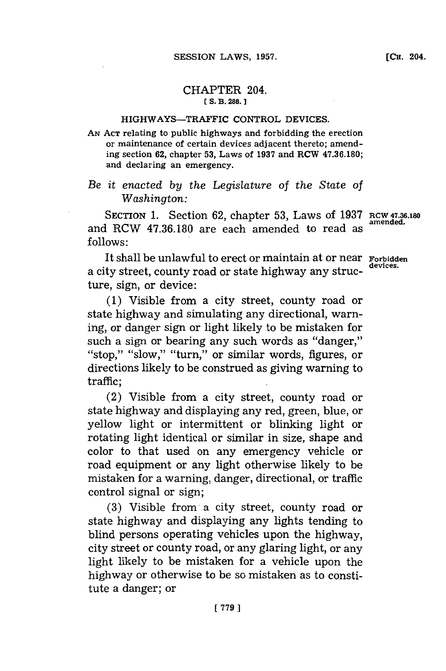## CHAPTER 204. **C(S. B. 288.]1**

## HIGHWAYS-TRAFFIC CONTROL DEVICES.

**AN ACT** relating to public highways and forbidding the erection or maintenance of certain devices adjacent thereto; amending section **62,** chapter **53,** Laws of **1937** and RCW **47.36.180;** and declaring an emergency.

## *Be it enacted by the Legislature of the State of Washington:*

SECTION 1. Section 62, chapter 53, Laws of 1937 RCW 47.36.180 and RCW 47.36.180 are each amended to read as **follows:**

It shall be unlawful to erect or maintain at or near **Forbidden** a city street, county road or state highway any structure, sign, or device:

**(1)** Visible from a city street, county road or state highway and simulating any directional, warning, or danger sign or light likely to be mistaken for such a sign or bearing any such words as "danger," "stop," "slow," "turn," or similar words, figures, or directions likely to be construed as giving warning to traffic;

(2) Visible from a city street, county road or state highway and displaying any red, green, blue, or yellow light or intermittent or blinking light or rotating light identical or similar in size, shape and color to that used on any emergency vehicle or road equipment or any light otherwise likely to be mistaken for a warning, danger, directional, or traffic control signal or sign;

**(3)** Visible from a city street, county road or state highway and displaying any lights tending to blind persons operating vehicles upon the highway, city street or county road, or any glaring light, or any light likely to be mistaken for a vehicle upon the highway or otherwise to be so mistaken as to constitute a danger; or